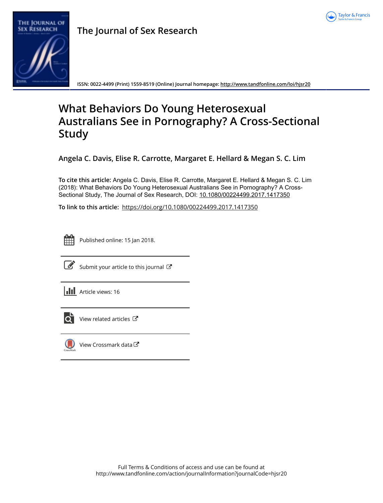



**The Journal of Sex Research**

**ISSN: 0022-4499 (Print) 1559-8519 (Online) Journal homepage:<http://www.tandfonline.com/loi/hjsr20>**

# **What Behaviors Do Young Heterosexual Australians See in Pornography? A Cross-Sectional Study**

**Angela C. Davis, Elise R. Carrotte, Margaret E. Hellard & Megan S. C. Lim**

**To cite this article:** Angela C. Davis, Elise R. Carrotte, Margaret E. Hellard & Megan S. C. Lim (2018): What Behaviors Do Young Heterosexual Australians See in Pornography? A Cross-Sectional Study, The Journal of Sex Research, DOI: [10.1080/00224499.2017.1417350](http://www.tandfonline.com/action/showCitFormats?doi=10.1080/00224499.2017.1417350)

**To link to this article:** <https://doi.org/10.1080/00224499.2017.1417350>



Published online: 15 Jan 2018.



 $\overrightarrow{S}$  [Submit your article to this journal](http://www.tandfonline.com/action/authorSubmission?journalCode=hjsr20&show=instructions)  $\overrightarrow{S}$ 





 $\overline{\mathbf{Q}}$  [View related articles](http://www.tandfonline.com/doi/mlt/10.1080/00224499.2017.1417350)  $\mathbf{C}$ 



[View Crossmark data](http://crossmark.crossref.org/dialog/?doi=10.1080/00224499.2017.1417350&domain=pdf&date_stamp=2018-01-15)  $\sigma$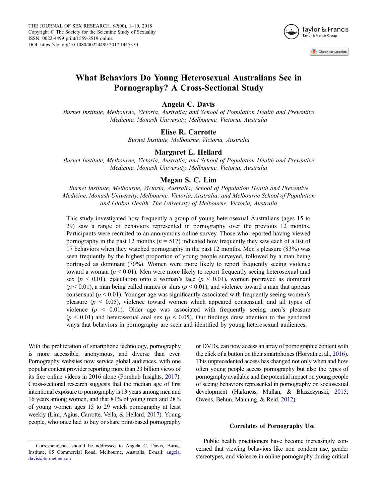

# What Behaviors Do Young Heterosexual Australians See in Pornography? A Cross-Sectional Study

#### Angela C. Davis

Burnet Institute, Melbourne, Victoria, Australia; and School of Population Health and Preventive Medicine, Monash University, Melbourne, Victoria, Australia

# Elise R. Carrotte

Burnet Institute, Melbourne, Victoria, Australia

## Margaret E. Hellard

Burnet Institute, Melbourne, Victoria, Australia; and School of Population Health and Preventive Medicine, Monash University, Melbourne, Victoria, Australia

## Megan S. C. Lim

Burnet Institute, Melbourne, Victoria, Australia; School of Population Health and Preventive Medicine, Monash University, Melbourne, Victoria, Australia; and Melbourne School of Population and Global Health, The University of Melbourne, Victoria, Australia

This study investigated how frequently a group of young heterosexual Australians (ages 15 to 29) saw a range of behaviors represented in pornography over the previous 12 months. Participants were recruited to an anonymous online survey. Those who reported having viewed pornography in the past 12 months ( $n = 517$ ) indicated how frequently they saw each of a list of 17 behaviors when they watched pornography in the past 12 months. Men's pleasure (83%) was seen frequently by the highest proportion of young people surveyed, followed by a man being portrayed as dominant (70%). Women were more likely to report frequently seeing violence toward a woman ( $p < 0.01$ ). Men were more likely to report frequently seeing heterosexual anal sex ( $p < 0.01$ ), ejaculation onto a woman's face ( $p < 0.01$ ), women portrayed as dominant  $(p < 0.01)$ , a man being called names or slurs  $(p < 0.01)$ , and violence toward a man that appears consensual ( $p < 0.01$ ). Younger age was significantly associated with frequently seeing women's pleasure ( $p < 0.05$ ), violence toward women which appeared consensual, and all types of violence ( $p \leq 0.01$ ). Older age was associated with frequently seeing men's pleasure  $(p < 0.01)$  and heterosexual anal sex  $(p < 0.05)$ . Our findings draw attention to the gendered ways that behaviors in pornography are seen and identified by young heterosexual audiences.

With the proliferation of smartphone technology, pornography is more accessible, anonymous, and diverse than ever. Pornography websites now service global audiences, with one popular content provider reporting more than 23 billion views of its free online videos in 2016 alone (Pornhub Insights, [2017](#page-10-0)). Cross-sectional research suggests that the median age of first intentional exposure to pornography is 13 years among men and 16 years among women, and that 81% of young men and 28% of young women ages 15 to 29 watch pornography at least weekly (Lim, Agius, Carrotte, Vella, & Hellard, [2017](#page-10-0)). Young people, who once had to buy or share print-based pornography

or DVDs, can now access an array of pornographic content with the click of a button on their smartphones (Horvath et al., [2016](#page-10-0)). This unprecedented access has changed not only when and how often young people access pornography but also the types of pornography available and the potential impact on young people of seeing behaviors represented in pornography on sociosexual development (Harkness, Mullan, & Blaszczynski, [2015](#page-10-0); Owens, Behun, Manning, & Reid, [2012](#page-10-0)).

#### Correlates of Pornography Use

Public health practitioners have become increasingly concerned that viewing behaviors like non–condom use, gender stereotypes, and violence in online pornography during critical

Correspondence should be addressed to Angela C. Davis, Burnet Institute, 85 Commercial Road, Melbourne, Australia. E-mail: angela. davis@burnet.edu.au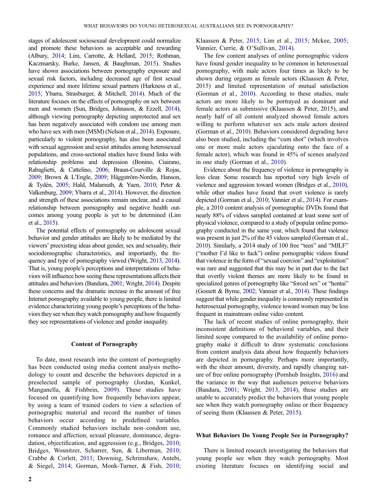stages of adolescent sociosexual development could normalize and promote these behaviors as acceptable and rewarding (Albury, [2014](#page-9-0); Lim, Carrotte, & Hellard, [2015](#page-10-0); Rothman, Kaczmarsky, Burke, Jansen, & Baughman, [2015\)](#page-10-0). Studies have shown associations between pornography exposure and sexual risk factors, including decreased age of first sexual experience and more lifetime sexual partners (Harkness et al., [2015;](#page-10-0) Ybarra, Strasburger, & Mitchell, [2014\)](#page-10-0). Much of the literature focuses on the effects of pornography on sex between men and women (Sun, Bridges, Johnason, & Ezzell, [2014](#page-10-0)), although viewing pornography depicting unprotected anal sex has been negatively associated with condom use among men who have sex with men (MSM) (Nelson et al., [2014](#page-10-0)). Exposure, particularly to violent pornography, has also been associated with sexual aggression and sexist attitudes among heterosexual populations, and cross-sectional studies have found links with relationship problems and depression (Bonino, Ciairano, Rabaglietti, & Cattelino, [2006](#page-9-0); Braun-Courville & Rojas, [2009;](#page-9-0) Brown & L'Engle, [2009](#page-9-0); Häggström-Nordin, Hanson, & Tydén, [2005](#page-9-0); Hald, Malamuth, & Yuen, [2010;](#page-10-0) Peter & Valkenburg, [2009;](#page-10-0) Ybarra et al., [2014\)](#page-10-0). However, the direction and strength of these associations remain unclear, and a causal relationship between pornography and negative health outcomes among young people is yet to be determined (Lim et al., [2015](#page-10-0)).

The potential effects of pornography on adolescent sexual behavior and gender attitudes are likely to be mediated by the viewers' preexisting ideas about gender, sex and sexuality, their sociodemographic characteristics, and importantly, the frequency and type of pornography viewed (Wright, [2013](#page-10-0), [2014](#page-10-0)). That is, young people's perceptions and interpretations of behaviors will influence how seeing these representations affects their attitudes and behaviors (Bandura, [2001;](#page-9-0) Wright, [2014](#page-10-0)). Despite these concerns and the dramatic increase in the amount of free Internet pornography available to young people, there is limited evidence characterizing young people's perceptions of the behaviors they see when they watch pornography and how frequently they see representations of violence and gender inequality.

#### Content of Pornography

To date, most research into the content of pornography has been conducted using media content analysis methodology to count and describe the behaviors depicted in a preselected sample of pornography (Jordan, Kunkel, Manganella, & Fishbein, [2009](#page-10-0)). These studies have focused on quantifying how frequently behaviors appear, by using a team of trained coders to view a selection of pornographic material and record the number of times behaviors occur according to predefined variables. Commonly studied behaviors include non–condom use, romance and affection, sexual pleasure, dominance, degradation, objectification, and aggression (e.g., Bridges, [2010](#page-9-0); Bridges, Wosnitzer, Scharrer, Sun, & Liberman, [2010](#page-9-0); Crabbe & Corlett, [2011](#page-9-0); Downing, Schrimshaw, Antebi, & Siegel, [2014;](#page-9-0) Gorman, Monk-Turner, & Fish, [2010](#page-9-0);

Klaassen & Peter, [2015;](#page-10-0) Lim et al., [2015;](#page-10-0) Mckee, [2005](#page-10-0); Vannier, Currie, & O'Sullivan, [2014](#page-10-0)).

The few content analyses of online pornographic videos have found gender inequality to be common in heterosexual pornography, with male actors four times as likely to be shown during orgasm as female actors (Klaassen & Peter, 2015) and limited representation of mutual satisfaction (Gorman et al., [2010\)](#page-9-0). According to these studies, male actors are more likely to be portrayed as dominant and female actors as submissive (Klaassen & Peter, 2015), and nearly half of all content analyzed showed female actors willing to perform whatever sex acts male actors desired (Gorman et al., [2010](#page-9-0)). Behaviors considered degrading have also been studied, including the "cum shot" (which involves one or more male actors ejaculating onto the face of a female actor), which was found in 45% of scenes analyzed in one study (Gorman et al., [2010\)](#page-9-0).

Evidence about the frequency of violence in pornography is less clear. Some research has reported very high levels of violence and aggression toward women (Bridges et al., [2010](#page-9-0)), while other studies have found that overt violence is rarely depicted (Gorman et al., [2010](#page-9-0); Vannier et al., [2014\)](#page-10-0). For example, a 2010 content analysis of pornographic DVDs found that nearly 88% of videos sampled contained at least some sort of physical violence, compared to a study of popular online pornography conducted in the same year, which found that violence was present in just 2% of the 45 videos sampled (Gorman et al., [2010](#page-9-0)). Similarly, a 2014 study of 100 free "teen" and "MILF" ("mother I'd like to fuck") online pornographic videos found that violence in the form of "sexual coercion" and "exploitation" was rare and suggested that this may be in part due to the fact that overtly violent themes are more likely to be found in specialized genres of pornography like "forced sex" or "hentai" (Gossett & Byrne, [2002;](#page-9-0) Vannier et al., [2014\)](#page-10-0). These findings suggest that while gender inequality is commonly represented in heterosexual pornography, violence toward women may be less frequent in mainstream online video content.

The lack of recent studies of online pornography, their inconsistent definitions of behavioral variables, and their limited scope compared to the availability of online pornography make it difficult to draw systematic conclusions from content analysis data about how frequently behaviors are depicted in pornography. Perhaps more importantly, with the sheer amount, diversity, and rapidly changing nature of free online pornography (Pornhub Insights, [2016\)](#page-10-0) and the variance in the way that audiences perceive behaviors (Bandura, [2001;](#page-9-0) Wright, [2013](#page-10-0), [2014](#page-10-0)), these studies are unable to accurately predict the behaviors that young people see when they watch pornography online or their frequency of seeing them (Klaassen & Peter, [2015\)](#page-10-0).

#### What Behaviors Do Young People See in Pornography?

There is limited research investigating the behaviors that young people see when they watch pornography. Most existing literature focuses on identifying social and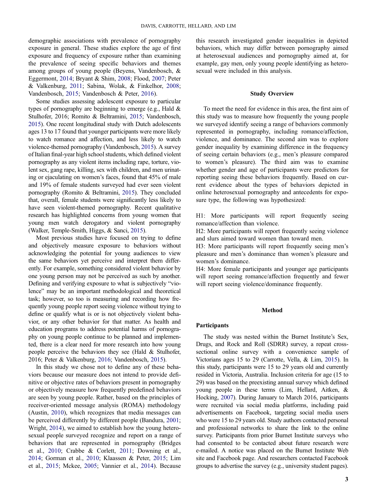demographic associations with prevalence of pornography exposure in general. These studies explore the age of first exposure and frequency of exposure rather than examining the prevalence of seeing specific behaviors and themes among groups of young people (Beyens, Vandenbosch, & Eggermont, [2014](#page-9-0); Bryant & Shim, [2008;](#page-9-0) Flood, [2007](#page-9-0); Peter & Valkenburg, [2011;](#page-10-0) Sabina, Wolak, & Finkelhor, [2008](#page-10-0); Vandenbosch, [2015;](#page-10-0) Vandenbosch & Peter, [2016\)](#page-10-0).

Some studies assessing adolescent exposure to particular types of pornography are beginning to emerge (e.g., Hald & Stulhofer, 2016; Romito & Beltramini, [2015](#page-10-0); Vandenbosch, [2015](#page-10-0)). One recent longitudinal study with Dutch adolescents ages 13 to 17 found that younger participants were more likely to watch romance and affection, and less likely to watch violence-themed pornography (Vandenbosch, [2015](#page-10-0)). A survey of Italian final-year high school students, which defined violent pornography as any violent items including rape, torture, violent sex, gang rape, killing, sex with children, and men urinating or ejaculating on women's faces, found that 45% of male and 19% of female students surveyed had ever seen violent pornography (Romito & Beltramini, [2015](#page-10-0)). They concluded that, overall, female students were significantly less likely to have seen violent-themed pornography. Recent qualitative research has highlighted concerns from young women that young men watch derogatory and violent pornography (Walker, Temple-Smith, Higgs, & Sanci, [2015](#page-10-0)).

Most previous studies have focused on trying to define and objectively measure exposure to behaviors without acknowledging the potential for young audiences to view the same behaviors yet perceive and interpret them differently. For example, something considered violent behavior by one young person may not be perceived as such by another. Defining and verifying exposure to what is subjectively "violence" may be an important methodological and theoretical task; however, so too is measuring and recording how frequently young people report seeing violence without trying to define or qualify what is or is not objectively violent behavior, or any other behavior for that matter. As health and education programs to address potential harms of pornography on young people continue to be planned and implemented, there is a clear need for more research into how young people perceive the behaviors they see (Hald & Stulhofer, 2016; Peter & Valkenburg, [2016](#page-10-0); Vandenbosch, [2015](#page-10-0)).

In this study we chose not to define any of these behaviors because our measure does not intend to provide definitive or objective rates of behaviors present in pornography or objectively measure how frequently predefined behaviors are seen by young people. Rather, based on the principles of receiver-oriented message analysis (ROMA) methodology (Austin, [2010\)](#page-9-0), which recognizes that media messages can be perceived differently by different people (Bandura, [2001](#page-9-0); Wright, [2014\)](#page-10-0), we aimed to establish how the young heterosexual people surveyed recognize and report on a range of behaviors that are represented in pornography (Bridges et al., [2010;](#page-9-0) Crabbe & Corlett, [2011](#page-9-0); Downing et al., [2014;](#page-9-0) Gorman et al., [2010](#page-9-0); Klaassen & Peter, [2015;](#page-10-0) Lim et al., [2015](#page-10-0); Mckee, [2005;](#page-10-0) Vannier et al., [2014](#page-10-0)). Because

this research investigated gender inequalities in depicted behaviors, which may differ between pornography aimed at heterosexual audiences and pornography aimed at, for example, gay men, only young people identifying as heterosexual were included in this analysis.

#### Study Overview

To meet the need for evidence in this area, the first aim of this study was to measure how frequently the young people we surveyed identify seeing a range of behaviors commonly represented in pornography, including romance/affection, violence, and dominance. The second aim was to explore gender inequality by examining difference in the frequency of seeing certain behaviors (e.g., men's pleasure compared to women's pleasure). The third aim was to examine whether gender and age of participants were predictors for reporting seeing these behaviors frequently. Based on current evidence about the types of behaviors depicted in online heterosexual pornography and antecedents for exposure type, the following was hypothesized:

H1: More participants will report frequently seeing romance/affection than violence.

H2: More participants will report frequently seeing violence and slurs aimed toward women than toward men.

H3: More participants will report frequently seeing men's pleasure and men's dominance than women's pleasure and women's dominance.

H4: More female participants and younger age participants will report seeing romance/affection frequently and fewer will report seeing violence/dominance frequently.

#### Method

#### Participants

The study was nested within the Burnet Institute's Sex, Drugs, and Rock and Roll (SDRR) survey, a repeat crosssectional online survey with a convenience sample of Victorians ages 15 to 29 (Carrotte, Vella, & Lim, [2015](#page-9-0)). In this study, participants were 15 to 29 years old and currently resided in Victoria, Australia. Inclusion criteria for age (15 to 29) was based on the preexisting annual survey which defined young people in these terms (Lim, Hellard, Aitken, & Hocking, [2007](#page-10-0)). During January to March 2016, participants were recruited via social media platforms, including paid advertisements on Facebook, targeting social media users who were 15 to 29 years old. Study authors contacted personal and professional networks to share the link to the online survey. Participants from prior Burnet Institute surveys who had consented to be contacted about future research were e-mailed. A notice was placed on the Burnet Institute Web site and Facebook page. And researchers contacted Facebook groups to advertise the survey (e.g., university student pages).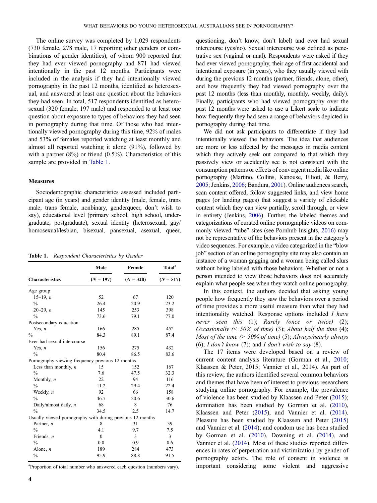The online survey was completed by 1,029 respondents (730 female, 278 male, 17 reporting other genders or combinations of gender identities), of whom 900 reported that they had ever viewed pornography and 871 had viewed intentionally in the past 12 months. Participants were included in the analysis if they had intentionally viewed pornography in the past 12 months, identified as heterosexual, and answered at least one question about the behaviors they had seen. In total, 517 respondents identified as heterosexual (320 female, 197 male) and responded to at least one question about exposure to types of behaviors they had seen in pornography during that time. Of those who had intentionally viewed pornography during this time, 92% of males and 53% of females reported watching at least monthly and almost all reported watching it alone (91%), followed by with a partner  $(8\%)$  or friend  $(0.5\%)$ . Characteristics of this sample are provided in Table 1.

#### Measures

Sociodemographic characteristics assessed included participant age (in years) and gender identity (male, female, trans male, trans female, nonbinary, genderqueer, don't wish to say), educational level (primary school, high school, undergraduate, postgraduate), sexual identity (heterosexual, gay/ homosexual/lesbian, bisexual, pansexual, asexual, queer,

| Table 1. |  | Respondent Characteristics by Gender |  |  |
|----------|--|--------------------------------------|--|--|
|----------|--|--------------------------------------|--|--|

|                                                           | Male        | Female      | Total <sup>a</sup> |  |  |
|-----------------------------------------------------------|-------------|-------------|--------------------|--|--|
| <b>Characteristics</b>                                    | $(N = 197)$ | $(N = 320)$ | $(N = 517)$        |  |  |
| Age group                                                 |             |             |                    |  |  |
| $15-19, n$                                                | 52          | 67          | 120                |  |  |
| $\frac{0}{0}$                                             | 26.4        | 20.9        | 23.2               |  |  |
| $20 - 29$ , <i>n</i>                                      | 145         | 253         | 398                |  |  |
| $\frac{0}{0}$                                             | 73.6        | 79.1        | 77.0               |  |  |
| Postsecondary education                                   |             |             |                    |  |  |
| Yes, $n$                                                  | 166         | 285         | 452                |  |  |
| $\frac{0}{0}$                                             | 84.3        | 89.1        | 87.4               |  |  |
| Ever had sexual intercourse                               |             |             |                    |  |  |
| Yes, $n$                                                  | 156         | 275         | 432                |  |  |
| $\frac{0}{0}$                                             | 80.4        | 86.5        | 83.6               |  |  |
| Pornography viewing frequency previous 12 months          |             |             |                    |  |  |
| Less than monthly, $n$                                    | 15          | 152         | 167                |  |  |
| $\frac{0}{0}$                                             | 7.6         | 47.5        | 32.3               |  |  |
| Monthly, $n$                                              | 22          | 94          | 116                |  |  |
| $\frac{0}{0}$                                             | 11.2        | 29.4        | 22.4               |  |  |
| Weekly, $n$                                               | 92          | 66          | 158                |  |  |
| $\frac{0}{0}$                                             | 46.7        | 20.6        | 30.6               |  |  |
| Daily/almost daily, $n$                                   | 68          | 8           | 76                 |  |  |
| $\frac{0}{0}$                                             | 34.5        | 2.5         | 14.7               |  |  |
| Usually viewed pornography with during previous 12 months |             |             |                    |  |  |
| Partner, n                                                | 8           | 31          | 39                 |  |  |
| $\frac{0}{0}$                                             | 4.1         | 9.7         | 7.5                |  |  |
| Friends, $n$                                              | $\theta$    | 3           | 3                  |  |  |
| $\frac{0}{0}$                                             | 0.0         | 0.9         | 0.6                |  |  |
| Alone, $n$                                                | 189         | 284         | 473                |  |  |
| $\frac{0}{0}$                                             | 95.9        | 88.8        | 91.5               |  |  |
|                                                           |             |             |                    |  |  |

<sup>a</sup>Proportion of total number who answered each question (numbers vary).

questioning, don't know, don't label) and ever had sexual intercourse (yes/no). Sexual intercourse was defined as penetrative sex (vaginal or anal). Respondents were asked if they had ever viewed pornography, their age of first accidental and intentional exposure (in years), who they usually viewed with during the previous 12 months (partner, friends, alone, other), and how frequently they had viewed pornography over the past 12 months (less than monthly, monthly, weekly, daily). Finally, participants who had viewed pornography over the past 12 months were asked to use a Likert scale to indicate how frequently they had seen a range of behaviors depicted in pornography during that time.

We did not ask participants to differentiate if they had intentionally viewed the behaviors. The idea that audiences are more or less affected by the messages in media content which they actively seek out compared to that which they passively view or accidently see is not consistent with the consumption patterns or effects of convergent media like online pornography (Martino, Collins, Kanouse, Elliott, & Berry, [2005](#page-10-0); Jenkins, [2006](#page-10-0); Bandura, [2001\)](#page-9-0). Online audiences search, scan content offered, follow suggested links, and view home pages (or landing pages) that suggest a variety of clickable content which they can view partially, scroll through, or view in entirety (Jenkins, [2006\)](#page-10-0). Further, the labeled themes and categorizations of curated online pornographic videos on commonly viewed "tube" sites (see Pornhub Insights, [2016\)](#page-10-0) may not be representative of the behaviors present in the category's video sequences. For example, a video categorized in the "blow job" section of an online pornography site may also contain an instance of a woman gagging and a woman being called slurs without being labeled with those behaviors. Whether or not a person intended to view those behaviors does not accurately explain what people see when they watch online pornography.

In this context, the authors decided that asking young people how frequently they saw the behaviors over a period of time provides a more useful measure than what they had intentionality watched. Response options included I have never seen this (1); Rarely (once or twice) (2); Occasionally  $\ll 50\%$  of time) (3); About half the time (4); Most of the time  $(> 50\%$  of time) (5); Always/nearly always (6); I don't know (7); and I don't wish to say  $(8)$ .

The 17 items were developed based on a review of current content analysis literature (Gorman et al., [2010](#page-9-0); Klaassen & Peter, 2015; Vannier et al., 2014). As part of this review, the authors identified several common behaviors and themes that have been of interest to previous researchers studying online pornography. For example, the prevalence of violence has been studied by Klaassen and Peter [\(2015\)](#page-10-0); domination has been studied by Gorman et al. [\(2010](#page-9-0)), Klaassen and Peter [\(2015](#page-10-0)), and Vannier et al. [\(2014](#page-10-0)). Pleasure has been studied by Klaassen and Peter ([2015\)](#page-10-0) and Vannier et al. [\(2014](#page-10-0)); and condom use has been studied by Gorman et al. ([2010\)](#page-9-0), Downing et al. ([2014\)](#page-9-0), and Vannier et al. [\(2014](#page-10-0)). Most of these studies reported differences in rates of perpetration and victimization by gender of pornography actors. The role of consent in violence is important considering some violent and aggressive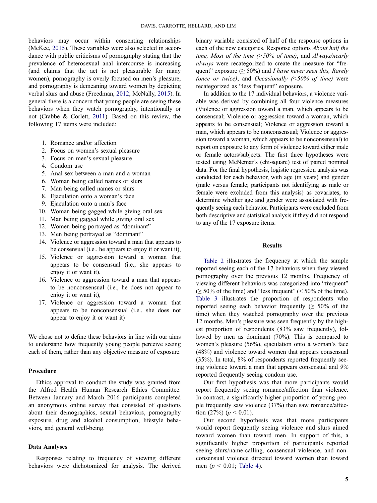behaviors may occur within consenting relationships (McKee, [2015](#page-10-0)). These variables were also selected in accordance with public criticisms of pornography stating that the prevalence of heterosexual anal intercourse is increasing (and claims that the act is not pleasurable for many women), pornography is overly focused on men's pleasure, and pornography is demeaning toward women by depicting verbal slurs and abuse (Freedman, [2012](#page-9-0); McNally, [2015](#page-10-0)). In general there is a concern that young people are seeing these behaviors when they watch pornography, intentionally or not (Crabbe & Corlett, [2011\)](#page-9-0). Based on this review, the following 17 items were included:

- 1. Romance and/or affection
- 2. Focus on women's sexual pleasure
- 3. Focus on men's sexual pleasure
- 4. Condom use
- 5. Anal sex between a man and a woman
- 6. Woman being called names or slurs
- 7. Man being called names or slurs
- 8. Ejaculation onto a woman's face
- 9. Ejaculation onto a man's face
- 10. Woman being gagged while giving oral sex
- 11. Man being gagged while giving oral sex
- 12. Women being portrayed as "dominant"
- 13. Men being portrayed as "dominant"
- 14. Violence or aggression toward a man that appears to be consensual (i.e., he appears to enjoy it or want it),
- 15. Violence or aggression toward a woman that appears to be consensual (i.e., she appears to enjoy it or want it),
- 16. Violence or aggression toward a man that appears to be nonconsensual (i.e., he does not appear to enjoy it or want it),
- 17. Violence or aggression toward a woman that appears to be nonconsensual (i.e., she does not appear to enjoy it or want it)

We chose not to define these behaviors in line with our aims to understand how frequently young people perceive seeing each of them, rather than any objective measure of exposure.

#### Procedure

Ethics approval to conduct the study was granted from the Alfred Health Human Research Ethics Committee. Between January and March 2016 participants completed an anonymous online survey that consisted of questions about their demographics, sexual behaviors, pornography exposure, drug and alcohol consumption, lifestyle behaviors, and general well-being.

#### Data Analyses

Responses relating to frequency of viewing different behaviors were dichotomized for analysis. The derived

binary variable consisted of half of the response options in each of the new categories. Response options About half the time, Most of the time  $($ >50% of time), and Always/nearly always were recategorized to create the measure for "frequent" exposure ( $\geq 50\%$ ) and *I have never seen this, Rarely* (once or twice), and Occasionally  $(50\% \text{ of time})$  were recategorized as "less frequent" exposure.

In addition to the 17 individual behaviors, a violence variable was derived by combining all four violence measures (Violence or aggression toward a man, which appears to be consensual; Violence or aggression toward a woman, which appears to be consensual; Violence or aggression toward a man, which appears to be nonconsensual; Violence or aggression toward a woman, which appears to be nonconsensual) to report on exposure to any form of violence toward either male or female actors/subjects. The first three hypotheses were tested using McNemar's (chi-square) test of paired nominal data. For the final hypothesis, logistic regression analysis was conducted for each behavior, with age (in years) and gender (male versus female; participants not identifying as male or female were excluded from this analysis) as covariates, to determine whether age and gender were associated with frequently seeing each behavior. Participants were excluded from both descriptive and statistical analysis if they did not respond to any of the 17 exposure items.

#### Results

[Table 2](#page-6-0) illustrates the frequency at which the sample reported seeing each of the 17 behaviors when they viewed pornography over the previous 12 months. Frequency of viewing different behaviors was categorized into "frequent"  $\geq 50\%$  of the time) and "less frequent" (< 50% of the time). [Table 3](#page-6-0) illustrates the proportion of respondents who reported seeing each behavior frequently ( $\geq 50\%$  of the time) when they watched pornography over the previous 12 months. Men's pleasure was seen frequently by the highest proportion of respondents (83% saw frequently), followed by men as dominant (70%). This is compared to women's pleasure (56%), ejaculation onto a woman's face (48%) and violence toward women that appears consensual (35%). In total, 8% of respondents reported frequently seeing violence toward a man that appears consensual and 9% reported frequently seeing condom use.

Our first hypothesis was that more participants would report frequently seeing romance/affection than violence. In contrast, a significantly higher proportion of young people frequently saw violence (37%) than saw romance/affection  $(27\%) (p < 0.01)$ .

Our second hypothesis was that more participants would report frequently seeing violence and slurs aimed toward women than toward men. In support of this, a significantly higher proportion of participants reported seeing slurs/name-calling, consensual violence, and nonconsensual violence directed toward women than toward men ( $p < 0.01$ ; [Table 4\)](#page-7-0).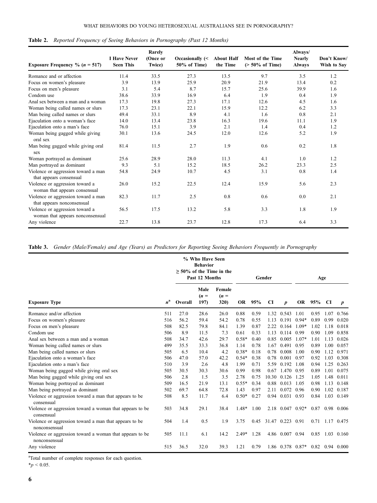| Exposure Frequency % ( $n = 517$ )                                  | <b>I Have Never</b><br><b>Seen This</b> | Rarely<br>(Once or<br>Twice) | Occasionally (<<br>50% of Time) | <b>About Half</b><br>the Time | Most of the Time<br>$($ > 50% of Time) | Always/<br><b>Nearly</b><br><b>Always</b> | Don't Know/<br>Wish to Sav |
|---------------------------------------------------------------------|-----------------------------------------|------------------------------|---------------------------------|-------------------------------|----------------------------------------|-------------------------------------------|----------------------------|
| Romance and or affection                                            | 11.4                                    | 33.5                         | 27.3                            | 13.5                          | 9.7                                    | 3.5                                       | 1.2                        |
| Focus on women's pleasure                                           | 3.9                                     | 13.9                         | 25.9                            | 20.9                          | 21.9                                   | 13.4                                      | 0.2                        |
| Focus on men's pleasure                                             | 3.1                                     | 5.4                          | 8.7                             | 15.7                          | 25.6                                   | 39.9                                      | 1.6                        |
| Condom use                                                          | 38.6                                    | 33.9                         | 16.9                            | 6.4                           | 1.9                                    | 0.4                                       | 1.9                        |
| Anal sex between a man and a woman                                  | 17.3                                    | 19.8                         | 27.3                            | 17.1                          | 12.6                                   | 4.5                                       | 1.6                        |
| Woman being called names or slurs                                   | 17.3                                    | 23.1                         | 22.1                            | 15.9                          | 12.2                                   | 6.2                                       | 3.3                        |
| Man being called names or slurs                                     | 49.4                                    | 33.1                         | 8.9                             | 4.1                           | 1.6                                    | 0.8                                       | 2.1                        |
| Ejaculation onto a woman's face                                     | 14.0                                    | 13.4                         | 23.8                            | 16.3                          | 19.6                                   | 11.1                                      | 1.9                        |
| Ejaculation onto a man's face                                       | 76.0                                    | 15.1                         | 3.9                             | 2.1                           | 1.4                                    | 0.4                                       | 1.2                        |
| Woman being gagged while giving<br>oral sex                         | 30.1                                    | 13.6                         | 24.5                            | 12.0                          | 12.6                                   | 5.2                                       | 1.9                        |
| Man being gagged while giving oral<br>sex                           | 81.4                                    | 11.5                         | 2.7                             | 1.9                           | 0.6                                    | 0.2                                       | 1.8                        |
| Woman portrayed as dominant                                         | 25.6                                    | 28.9                         | 28.0                            | 11.3                          | 4.1                                    | 1.0                                       | 1.2                        |
| Man portrayed as dominant                                           | 9.3                                     | 5.1                          | 15.2                            | 18.5                          | 26.2                                   | 23.3                                      | 2.5                        |
| Violence or aggression toward a man<br>that appears consensual      | 54.8                                    | 24.9                         | 10.7                            | 4.5                           | 3.1                                    | 0.8                                       | 1.4                        |
| Violence or aggression toward a<br>woman that appears consensual    | 26.0                                    | 15.2                         | 22.5                            | 12.4                          | 15.9                                   | 5.6                                       | 2.3                        |
| Violence or aggression toward a man<br>that appears nonconsensual   | 82.3                                    | 11.7                         | 2.5                             | 0.8                           | 0.6                                    | 0.0                                       | 2.1                        |
| Violence or aggression toward a<br>woman that appears nonconsensual | 56.5                                    | 17.5                         | 13.2                            | 5.8                           | 3.3                                    | 1.8                                       | 1.9                        |
| Any violence                                                        | 22.7                                    | 13.8                         | 23.7                            | 12.8                          | 17.3                                   | 6.4                                       | 3.3                        |

<span id="page-6-0"></span>Table 2. Reported Frequency of Seeing Behaviors in Pornography (Past 12 Months)

Table 3. Gender (Male/Female) and Age (Years) as Predictors for Reporting Seeing Behaviors Frequently in Pornography

|                                                                           |             | % Who Have Seen<br><b>Behavior</b><br>$\geq$ 50% of the Time in the<br>Past 12 Months |                        | Gender                           |         |      |           | Age                   |         |        |      |                   |
|---------------------------------------------------------------------------|-------------|---------------------------------------------------------------------------------------|------------------------|----------------------------------|---------|------|-----------|-----------------------|---------|--------|------|-------------------|
| <b>Exposure Type</b>                                                      | $n^{\rm a}$ | Overall                                                                               | Male<br>$(n =$<br>197) | Female<br>$(n =$<br><b>320</b> ) | OR      | 95%  | <b>CI</b> | $\boldsymbol{p}$      |         | OR 95% | CI   | p                 |
| Romance and/or affection                                                  | 511         | 27.0                                                                                  | 28.6                   | 26.0                             | 0.88    | 0.59 |           | 1.32 0.543            | 1.01    | 0.95   | 1.07 | 0.766             |
| Focus on women's pleasure                                                 | 516         | 56.2                                                                                  | 59.4                   | 54.2                             | 0.78    | 0.55 | 1.13      | 0.191                 | $0.94*$ | 0.89   | 0.99 | 0.020             |
| Focus on men's pleasure                                                   | 508         | 82.5                                                                                  | 79.8                   | 84.1                             | 1.39    | 0.87 | 2.22      | $0.164$ 1.09*         |         | 1.02   | 1.18 | 0.018             |
| Condom use                                                                | 506         | 8.9                                                                                   | 11.5                   | 7.3                              | 0.61    | 0.33 | 1.13      | 0.114                 | 0.99    | 0.90   | 1.09 | 0.858             |
| Anal sex between a man and a woman                                        | 508         | 34.7                                                                                  | 42.6                   | 29.7                             | $0.58*$ | 0.40 | 0.85      | 0.005                 | $1.07*$ | 1.01   | 1.13 | 0.026             |
| Woman being called names or slurs                                         | 499         | 35.5                                                                                  | 33.3                   | 36.8                             | 1.14    | 0.78 | 1.67      | 0.491                 | 0.95    | 0.89   | 1.00 | 0.057             |
| Man being called names or slurs                                           | 505         | 6.5                                                                                   | 10.4                   | 4.2                              | $0.38*$ | 0.18 | 0.78      | 0.008                 | 1.00    | 0.90   | 1.12 | 0.971             |
| Ejaculation onto a woman's face                                           | 506         | 47.0                                                                                  | 57.0                   | 42.2                             | $0.54*$ | 0.38 | 0.78      | 0.001                 | 0.97    | 0.92   | 1.03 | 0.308             |
| Ejaculation onto a man's face                                             | 510         | 3.9                                                                                   | 2.6                    | 4.8                              | 1.99    | 0.71 | 5.59      | 0.192                 | 1.08    | 0.94   | 1.25 | 0.263             |
| Woman being gagged while giving oral sex                                  | 505         | 30.5                                                                                  | 30.3                   | 30.6                             | 0.99    | 0.98 |           | 0.67 1.470 0.95       |         | 0.89   | 1.01 | 0.075             |
| Man being gagged while giving oral sex                                    | 506         | 2.8                                                                                   | 1.5                    | 3.5                              | 2.78    | 0.75 |           | 10.30 0.126 1.25      |         | 1.05   | 1.48 | 0.011             |
| Woman being portrayed as dominant                                         | 509         | 16.5                                                                                  | 21.9                   | 13.1                             | $0.55*$ | 0.34 |           | 0.88 0.013 1.05       |         | 0.98   | 1.13 | 0.148             |
| Man being portrayed as dominant                                           | 502         | 69.7                                                                                  | 64.8                   | 72.8                             | 1.43    | 0.97 | 2.11      | 0.072 0.96            |         | 0.90   | 1.02 | 0.187             |
| Violence or aggression toward a man that appears to be<br>consensual      | 508         | 8.5                                                                                   | 11.7                   | 6.4                              | $0.50*$ | 0.27 |           | 0.94 0.031 0.93       |         |        |      | 0.84 1.03 0.149   |
| Violence or aggression toward a woman that appears to be<br>consensual    | 503         | 34.8                                                                                  | 29.1                   | 38.4                             | $1.48*$ | 1.00 |           | $2.18$ 0.047 0.92*    |         |        |      | 0.87 0.98 0.006   |
| Violence or aggression toward a man that appears to be<br>nonconsensual   | 504         | 1.4                                                                                   | 0.5                    | 1.9                              | 3.75    |      |           | 0.45 31.47 0.223 0.91 |         |        |      | 0.71 1.17 0.475   |
| Violence or aggression toward a woman that appears to be<br>nonconsensual | 505         | 11.1                                                                                  | 6.1                    | 14.2                             | $2.49*$ | 1.28 |           | 4.86 0.007 0.94       |         |        |      | 0.85 1.03 0.160   |
| Any violence                                                              | 515         | 36.5                                                                                  | 32.0                   | 39.3                             | 1.21    | 0.79 |           | $1.86$ 0.378 0.87*    |         |        |      | $0.82$ 0.94 0.000 |

<sup>a</sup>Total number of complete responses for each question.

 $*_{p}$  < 0.05.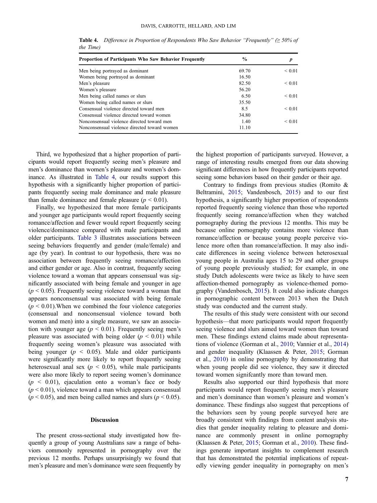| <b>Proportion of Participants Who Saw Behavior Frequently</b> | $\frac{0}{0}$ |             |  |  |
|---------------------------------------------------------------|---------------|-------------|--|--|
| Men being portrayed as dominant                               | 69.70         | ${}< 0.01$  |  |  |
| Women being portrayed as dominant                             | 16.50         |             |  |  |
| Men's pleasure                                                | 82.50         | ${}< 0.01$  |  |  |
| Women's pleasure                                              | 56.20         |             |  |  |
| Men being called names or slurs                               | 6.50          | ${}< 0.01$  |  |  |
| Women being called names or slurs                             | 35.50         |             |  |  |
| Consensual violence directed toward men                       | 8.5           | ${}_{0.01}$ |  |  |
| Consensual violence directed toward women                     | 34.80         |             |  |  |
| Nonconsensual violence directed toward men                    | 1.40          | ${}_{0.01}$ |  |  |
| Nonconsensual violence directed toward women                  | 11.10         |             |  |  |

<span id="page-7-0"></span>Table 4. Difference in Proportion of Respondents Who Saw Behavior "Frequently" ( $\geq 50\%$  of the Time)

Third, we hypothesized that a higher proportion of participants would report frequently seeing men's pleasure and men's dominance than women's pleasure and women's dominance. As illustrated in Table 4, our results support this hypothesis with a significantly higher proportion of participants frequently seeing male dominance and male pleasure than female dominance and female pleasure ( $p < 0.01$ ).

Finally, we hypothesized that more female participants and younger age participants would report frequently seeing romance/affection and fewer would report frequently seeing violence/dominance compared with male participants and older participants. [Table 3](#page-6-0) illustrates associations between seeing behaviors frequently and gender (male/female) and age (by year). In contrast to our hypothesis, there was no association between frequently seeing romance/affection and either gender or age. Also in contrast, frequently seeing violence toward a woman that appears consensual was significantly associated with being female and younger in age  $(p < 0.05)$ . Frequently seeing violence toward a woman that appears nonconsensual was associated with being female  $(p < 0.01)$ . When we combined the four violence categories (consensual and nonconsensual violence toward both women and men) into a single measure, we saw an association with younger age ( $p < 0.01$ ). Frequently seeing men's pleasure was associated with being older ( $p < 0.01$ ) while frequently seeing women's pleasure was associated with being younger ( $p \le 0.05$ ). Male and older participants were significantly more likely to report frequently seeing heterosexual anal sex ( $p < 0.05$ ), while male participants were also more likely to report seeing women's dominance  $(p < 0.01)$ , ejaculation onto a woman's face or body  $(p < 0.01)$ , violence toward a man which appears consensual  $(p < 0.05)$ , and men being called names and slurs  $(p < 0.05)$ .

#### Discussion

The present cross-sectional study investigated how frequently a group of young Australians saw a range of behaviors commonly represented in pornography over the previous 12 months. Perhaps unsurprisingly we found that men's pleasure and men's dominance were seen frequently by

the highest proportion of participants surveyed. However, a range of interesting results emerged from our data showing significant differences in how frequently participants reported seeing some behaviors based on their gender or their age.

Contrary to findings from previous studies (Romito & Beltramini, [2015;](#page-10-0) Vandenbosch, [2015](#page-10-0)) and to our first hypothesis, a significantly higher proportion of respondents reported frequently seeing violence than those who reported frequently seeing romance/affection when they watched pornography during the previous 12 months. This may be because online pornography contains more violence than romance/affection or because young people perceive violence more often than romance/affection. It may also indicate differences in seeing violence between heterosexual young people in Australia ages 15 to 29 and other groups of young people previously studied; for example, in one study Dutch adolescents were twice as likely to have seen affection-themed pornography as violence-themed pornography (Vandenbosch, [2015](#page-10-0)). It could also indicate changes in pornographic content between 2013 when the Dutch study was conducted and the current study.

The results of this study were consistent with our second hypothesis—that more participants would report frequently seeing violence and slurs aimed toward women than toward men. These findings extend claims made about representations of violence (Gorman et al., [2010;](#page-9-0) Vannier et al., [2014\)](#page-10-0) and gender inequality (Klaassen & Peter, [2015;](#page-10-0) Gorman et al., [2010](#page-9-0)) in online pornography by demonstrating that when young people did see violence, they saw it directed toward women signifcantly more than toward men.

Results also supported our third hypothesis that more participants would report frequently seeing men's pleasure and men's dominance than women's pleasure and women's dominance. These findings also suggest that perceptions of the behaviors seen by young people surveyed here are broadly consistent with findings from content analysis studies that gender inequality relating to pleasure and dominance are commonly present in online pornography (Klaassen & Peter, [2015](#page-10-0); Gorman et al., [2010](#page-9-0)). These findings generate important insights to complement research that has demonstrated the potential implications of repeatedly viewing gender inequality in pornography on men's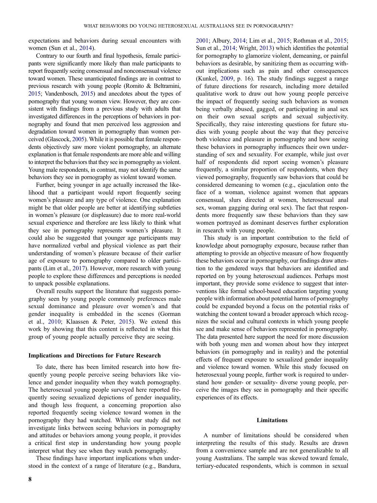expectations and behaviors during sexual encounters with women (Sun et al., [2014](#page-10-0)).

Contrary to our fourth and final hypothesis, female participants were significantly more likely than male participants to report frequently seeing consensual and nonconsensual violence toward women. These unanticipated findings are in contrast to previous research with young people (Romito & Beltramini, [2015;](#page-10-0) Vandenbosch, [2015\)](#page-10-0) and anecdotes about the types of pornography that young women view. However, they are consistent with findings from a previous study with adults that investigated differences in the perceptions of behaviors in pornography and found that men perceived less aggression and degradation toward women in pornography than women perceived (Glascock, [2005\)](#page-9-0). While it is possible that female respondents objectively saw more violent pornography, an alternate explanation is that female respondents are more able and willing to interpret the behaviors that they see in pornography as violent. Young male respondents, in contrast, may not identify the same behaviors they see in pornography as violent toward women.

Further, being younger in age actually increased the likelihood that a participant would report frequently seeing women's pleasure and any type of violence. One explanation might be that older people are better at identifying subtleties in women's pleasure (or displeasure) due to more real-world sexual experience and therefore are less likely to think what they see in pornography represents women's pleasure. It could also be suggested that younger age participants may have normalized verbal and physical violence as part their understanding of women's pleasure because of their earlier age of exposure to pornography compared to older participants (Lim et al., [2017\)](#page-10-0). However, more research with young people to explore these differences and perceptions is needed to unpack possible explanations.

Overall results support the literature that suggests pornography seen by young people commonly preferences male sexual dominance and pleasure over women's and that gender inequality is embedded in the scenes (Gorman et al., [2010;](#page-9-0) Klaassen & Peter, [2015\)](#page-10-0). We extend this work by showing that this content is reflected in what this group of young people actually perceive they are seeing.

#### Implications and Directions for Future Research

To date, there has been limited research into how frequently young people perceive seeing behaviors like violence and gender inequality when they watch pornography. The heterosexual young people surveyed here reported frequently seeing sexualized depictions of gender inequality, and though less frequent, a concerning proportion also reported frequently seeing violence toward women in the pornography they had watched. While our study did not investigate links between seeing behaviors in pornography and attitudes or behaviors among young people, it provides a critical first step in understanding how young people interpret what they see when they watch pornography.

These findings have important implications when understood in the context of a range of literature (e.g., Bandura, for pornography to glamorize violent, demeaning, or painful behaviors as desirable, by sanitizing them as occurring without implications such as pain and other consequences (Kunkel, [2009,](#page-10-0) p. 16). The study findings suggest a range of future directions for research, including more detailed qualitative work to draw out how young people perceive the impact of frequently seeing such behaviors as women being verbally abused, gagged, or participating in anal sex on their own sexual scripts and sexual subjectivity. Specifically, they raise interesting questions for future studies with young people about the way that they perceive both violence and pleasure in pornography and how seeing these behaviors in pornography influences their own understanding of sex and sexuality. For example, while just over half of respondents did report seeing women's pleasure frequently, a similar proportion of respondents, when they viewed pornography, frequently saw behaviors that could be considered demeaning to women (e.g., ejaculation onto the face of a woman, violence against women that appears consensual, slurs directed at women, heterosexual anal sex, woman gagging during oral sex). The fact that respondents more frequently saw these behaviors than they saw women portrayed as dominant deserves further exploration in research with young people.

[2001;](#page-9-0) Albury, [2014](#page-9-0); Lim et al., [2015;](#page-10-0) Rothman et al., [2015](#page-10-0); Sun et al., [2014;](#page-10-0) Wright, [2013\)](#page-10-0) which identifies the potential

This study is an important contribution to the field of knowledge about pornography exposure, because rather than attempting to provide an objective measure of how frequently these behaviors occur in pornography, our findings draw attention to the gendered ways that behaviors are identified and reported on by young heterosexual audiences. Perhaps most important, they provide some evidence to suggest that interventions like formal school-based education targeting young people with information about potential harms of pornography could be expanded beyond a focus on the potential risks of watching the content toward a broader approach which recognizes the social and cultural contexts in which young people see and make sense of behaviors represented in pornography. The data presented here support the need for more discussion with both young men and women about how they interpret behaviors (in pornography and in reality) and the potential effects of frequent exposure to sexualized gender inequality and violence toward women. While this study focused on heterosexual young people, further work is required to understand how gender- or sexuality- diverse young people, perceive the images they see in pornography and their specific experiences of its effects.

#### Limitations

A number of limitations should be considered when interpreting the results of this study. Results are drawn from a convenience sample and are not generalizable to all young Australians. The sample was skewed toward female, tertiary-educated respondents, which is common in sexual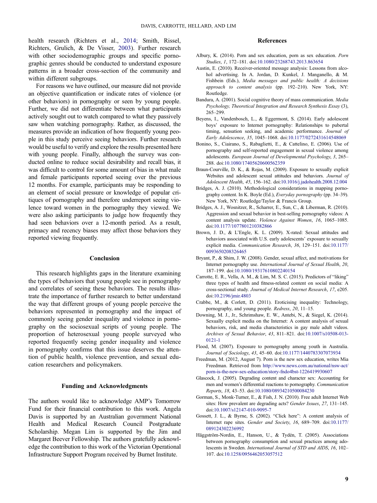<span id="page-9-0"></span>health research (Richters et al., [2014](#page-10-0); Smith, Rissel, Richters, Grulich, & De Visser, [2003](#page-10-0)). Further research with other sociodemographic groups and specific pornographic genres should be conducted to understand exposure patterns in a broader cross-section of the community and within different subgroups.

For reasons we have outlined, our measure did not provide an objective quantification or indicate rates of violence (or other behaviors) in pornography or seen by young people. Further, we did not differentiate between what participants actively sought out to watch compared to what they passively saw when watching pornography. Rather, as discussed, the measures provide an indication of how frequently young people in this study perceive seeing behaviors. Further research would be useful to verify and explore the results presented here with young people. Finally, although the survey was conducted online to reduce social desirability and recall bias, it was difficult to control for some amount of bias in what male and female participants reported seeing over the previous 12 months. For example, participants may be responding to an element of social pressure or knowledge of popular critiques of pornography and therefore underreport seeing violence toward women in the pornography they viewed. We were also asking participants to judge how frequently they had seen behaviors over a 12-month period. As a result, primacy and recency biases may affect those behaviors they reported viewing frequently.

#### Conclusion

This research highlights gaps in the literature examining the types of behaviors that young people see in pornography and correlates of seeing these behaviors. The results illustrate the importance of further research to better understand the way that different groups of young people perceive the behaviors represented in pornography and the impact of commonly seeing gender inequality and violence in pornography on the sociosexual scripts of young people. The proportion of heterosexual young people surveyed who reported frequently seeing gender inequality and violence in pornography confirms that this issue deserves the attention of public health, violence prevention, and sexual education researchers and policymakers.

#### Funding and Acknowledgments

The authors would like to acknowledge AMP's Tomorrow Fund for their financial contribution to this work. Angela Davis is supported by an Australian government National Health and Medical Research Council Postgraduate Scholarship. Megan Lim is supported by the Jim and Margaret Beever Fellowship. The authors gratefully acknowledge the contribution to this work of the Victorian Operational Infrastructure Support Program received by Burnet Institute.

#### References

- Albury, K. (2014). Porn and sex education, porn as sex education. Porn Studies, 1, 172–181. doi:[10.1080/23268743.2013.863654](https://doi.org/10.1080/23268743.2013.863654)
- Austin, E. (2010). Receiver-oriented message analysis: Lessons from alcohol advertising. In A. Jordan, D. Kunkel, J. Manganello, & M. Fishbein (Eds.), Media messages and public health: A decisions approach to content analysis (pp. 192–210). New York, NY: Routledge.
- Bandura, A. (2001). Social cognitive theory of mass communication. Media Psychology, Theoretical Integration and Research Synthesis Essay (3), 265–299.
- Beyens, I., Vandenbosch, L., & Eggermont, S. (2014). Early adolescent boys' exposure to Internet pornography: Relationships to pubertal timing, sensation seeking, and academic performance. Journal of Early Adolescence, 35, 1045–1068. doi:[10.1177/0272431614548069](https://doi.org/10.1177/0272431614548069)
- Bonino, S., Ciairano, S., Rabaglietti, E., & Cattelino, E. (2006). Use of pornography and self-reported engagement in sexual violence among adolescents. European Journal of Developmental Psychology, 3, 265– 288. doi:[10.1080/17405620600562359](https://doi.org/10.1080/17405620600562359)
- Braun-Courville, D. K., & Rojas, M. (2009). Exposure to sexually explicit Websites and adolescent sexual attitudes and behaviors. Journal of Adolescent Health, 45, 156–162. doi:[10.1016/j.jadohealth.2008.12.004](https://doi.org/10.1016/j.jadohealth.2008.12.004)
- Bridges, A. J. (2010). Methodological considerations in mapping pornography content. In K. Boyle (Ed.), Everyday pornography (pp. 34–39). New York, NY: Routledge/Taylor & Francis Group.
- Bridges, A. J., Wosnitzer, R., Scharrer, E., Sun, C., & Liberman, R. (2010). Aggression and sexual behavior in best-selling pornography videos: A content analysis update. Violence Against Women, 16, 1065–1085. doi:[10.1177/1077801210382866](https://doi.org/10.1177/1077801210382866)
- Brown, J. D., & L'Engle, K. L. (2009). X-rated: Sexual attitudes and behaviors associated with U.S. early adolescents' exposure to sexually explicit media. Communication Research, 36, 129–151. doi:[10.1177/](https://doi.org/10.1177/0093650208326465) [0093650208326465](https://doi.org/10.1177/0093650208326465)
- Bryant, P., & Shim, J. W. (2008). Gender, sexual affect, and motivations for Internet pornography use. International Journal of Sexual Health, 20, 187–199. doi:[10.1080/19317610802240154](https://doi.org/10.1080/19317610802240154)
- Carrotte, E. R., Vella, A. M., & Lim, M. S. C. (2015). Predictors of "liking" three types of health and fitness-related content on social media: A cross-sectional study. Journal of Medical Internet Research, 17, e205. doi:[10.2196/jmir.4803](https://doi.org/10.2196/jmir.4803)
- Crabbe, M., & Corlett, D. (2011). Eroticising inequality: Technology, pornography, and young people. Redress, 20, 11–15.
- Downing, M. J., Jr., Schrimshaw, E. W., Antebi, N., & Siegel, K. (2014). Sexually explicit media on the Internet: A content analysis of sexual behaviors, risk, and media characteristics in gay male adult videos. Archives of Sexual Behavior, 43, 811–821. doi:[10.1007/s10508-013-](https://doi.org/10.1007/s10508-013-0121-1) [0121-1](https://doi.org/10.1007/s10508-013-0121-1)
- Flood, M. (2007). Exposure to pornography among youth in Australia. Journal of Sociology, 43, 45–60. doi:[10.1177/1440783307073934](https://doi.org/10.1177/1440783307073934)
- Freedman, M. (2012, August 7). Porn is the new sex education, writes Mia Freedman. Retrieved from [http://www.news.com.au/national/nsw-act/](http://www.news.com.au/national/nsw-act/porn-is-the-new-sex-education/story-fndo4bst-1226419930607) [porn-is-the-new-sex-education/story-fndo4bst-1226419930607](http://www.news.com.au/national/nsw-act/porn-is-the-new-sex-education/story-fndo4bst-1226419930607)
- Glascock, J. (2005). Degrading content and character sex: Accounting for men and women's differential reactions to pornography. Communication Reports, 18, 43–53. doi:[10.1080/08934210500084230](https://doi.org/10.1080/08934210500084230)
- Gorman, S., Monk-Turner, E., & Fish, J. N. (2010). Free adult Internet Web sites: How prevalent are degrading acts? Gender Issues, 27, 131–145. doi:[10.1007/s12147-010-9095-7](https://doi.org/10.1007/s12147-010-9095-7)
- Gossett, J. L., & Byrne, S. (2002). "Click here": A content analysis of Internet rape sites. Gender and Society, 16, 689–709. doi:[10.1177/](https://doi.org/10.1177/089124302236992) [089124302236992](https://doi.org/10.1177/089124302236992)
- Häggström-Nordin, E., Hanson, U., & Tydén, T. (2005). Associations between pornography consumption and sexual practices among adolescents in Sweden. International Journal of STD and AIDS, 16, 102– 107. doi:[10.1258/0956462053057512](https://doi.org/10.1258/0956462053057512)